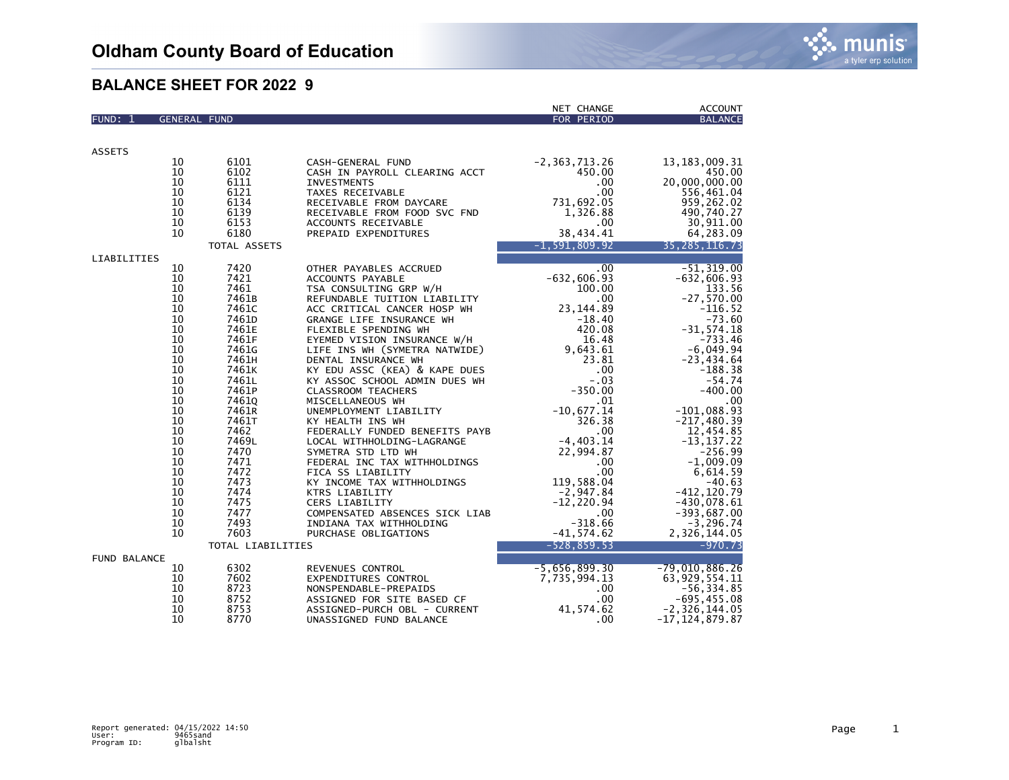|                     |                     |                   |                                | NET CHANGE        | <b>ACCOUNT</b>     |
|---------------------|---------------------|-------------------|--------------------------------|-------------------|--------------------|
| FUND: 1             | <b>GENERAL FUND</b> |                   |                                | FOR PERIOD        | <b>BALANCE</b>     |
|                     |                     |                   |                                |                   |                    |
|                     |                     |                   |                                |                   |                    |
| <b>ASSETS</b>       |                     |                   |                                |                   |                    |
|                     | 10                  | 6101              | CASH-GENERAL FUND              | $-2, 363, 713.26$ | 13, 183, 009. 31   |
|                     | 10                  | 6102              | CASH IN PAYROLL CLEARING ACCT  | 450.00            | 450.00             |
|                     | 10                  | 6111              | <b>INVESTMENTS</b>             | .00.              | 20,000,000.00      |
|                     | 10                  | 6121              | TAXES RECEIVABLE               | .00               | 556,461.04         |
|                     | 10                  | 6134              | RECEIVABLE FROM DAYCARE        | 731,692.05        | 959,262.02         |
|                     | 10                  | 6139              | RECEIVABLE FROM FOOD SVC FND   | 1,326.88          | 490,740.27         |
|                     | 10                  | 6153              | ACCOUNTS RECEIVABLE            | .00.              | 30,911.00          |
|                     | 10                  | 6180              | PREPAID EXPENDITURES           | 38,434.41         | 64,283.09          |
|                     |                     |                   |                                |                   |                    |
|                     |                     | TOTAL ASSETS      |                                | $-1, 591, 809.92$ | 35, 285, 116.73    |
| LIABILITIES         |                     |                   |                                |                   |                    |
|                     | 10                  | 7420              | OTHER PAYABLES ACCRUED         | .00               | $-51, 319.00$      |
|                     | 10                  | 7421              | ACCOUNTS PAYABLE               | $-632,606.93$     | $-632,606.93$      |
|                     | 10                  | 7461              | TSA CONSULTING GRP W/H         | 100.00            | 133.56             |
|                     | 10                  | 7461B             | REFUNDABLE TUITION LIABILITY   | .00.              | $-27,570.00$       |
|                     | 10                  | 7461C             | ACC CRITICAL CANCER HOSP WH    | 23, 144.89        | $-116.52$          |
|                     | 10                  | 7461D             | GRANGE LIFE INSURANCE WH       | $-18.40$          | $-73.60$           |
|                     | 10                  | 7461E             | FLEXIBLE SPENDING WH           | 420.08            | $-31, 574.18$      |
|                     | 10                  | 7461F             | EYEMED VISION INSURANCE W/H    | 16.48             | $-733.46$          |
|                     | 10                  | 7461G             | LIFE INS WH (SYMETRA NATWIDE)  | 9,643.61          | $-6,049.94$        |
|                     | 10                  | 7461H             | DENTAL INSURANCE WH            | 23.81             | $-23,434.64$       |
|                     | 10                  | 7461K             | KY EDU ASSC (KEA) & KAPE DUES  | .00               | -188.38            |
|                     | 10                  | 7461L             | KY ASSOC SCHOOL ADMIN DUES WH  | $-.03$            | $-54.74$           |
|                     | 10                  | 7461P             | <b>CLASSROOM TEACHERS</b>      | $-350.00$         | $-400.00$          |
|                     | 10                  | 7461Q             | MISCELLANEOUS WH               | .01               | .00                |
|                     | 10                  | 7461R             | UNEMPLOYMENT LIABILITY         | $-10,677.14$      | $-101,088.93$      |
|                     | 10                  | 7461T             | KY HEALTH INS WH               | 326.38            | $-217,480.39$      |
|                     | 10                  | 7462              | FEDERALLY FUNDED BENEFITS PAYB | .00               | 12,454.85          |
|                     | 10                  | 7469L             | LOCAL WITHHOLDING-LAGRANGE     | $-4,403.14$       | $-13, 137.22$      |
|                     | 10                  | 7470              | SYMETRA STD LTD WH             | 22,994.87         | $-256.99$          |
|                     | 10                  | 7471              | FEDERAL INC TAX WITHHOLDINGS   | $.00 \times$      | $-1,009.09$        |
|                     | 10                  | 7472              | FICA SS LIABILITY              | .00               | 6,614.59           |
|                     | 10                  | 7473              | KY INCOME TAX WITHHOLDINGS     | 119,588.04        | $-40.63$           |
|                     | 10                  | 7474              | KTRS LIABILITY                 | $-2,947.84$       | $-412, 120.79$     |
|                     | 10                  | 7475              | CERS LIABILITY                 | $-12, 220.94$     | $-430,078.61$      |
|                     | 10                  | 7477              | COMPENSATED ABSENCES SICK LIAB | $.00 \,$          | $-393,687.00$      |
|                     | 10                  | 7493              | INDIANA TAX WITHHOLDING        | $-318.66$         | $-3, 296.74$       |
|                     | 10                  | 7603              | PURCHASE OBLIGATIONS           | $-41, 574.62$     | 2,326,144.05       |
|                     |                     |                   |                                |                   |                    |
|                     |                     | TOTAL LIABILITIES |                                | $-528.859.53$     | $-970.73$          |
| <b>FUND BALANCE</b> |                     |                   |                                |                   |                    |
|                     | 10                  | 6302              | REVENUES CONTROL               | $-5,656,899.30$   | $-79,010,886.26$   |
|                     | 10                  | 7602              | EXPENDITURES CONTROL           | 7,735,994.13      | 63, 929, 554. 11   |
|                     | 10                  | 8723              | NONSPENDABLE-PREPAIDS          | $.00 \,$          | $-56, 334.85$      |
|                     | 10                  | 8752              | ASSIGNED FOR SITE BASED CF     | .00               | $-695, 455.08$     |
|                     | 10                  | 8753              | ASSIGNED-PURCH OBL - CURRENT   | 41,574.62         | $-2, 326, 144.05$  |
|                     | 10                  | 8770              | UNASSIGNED FUND BALANCE        | .00               | $-17, 124, 879.87$ |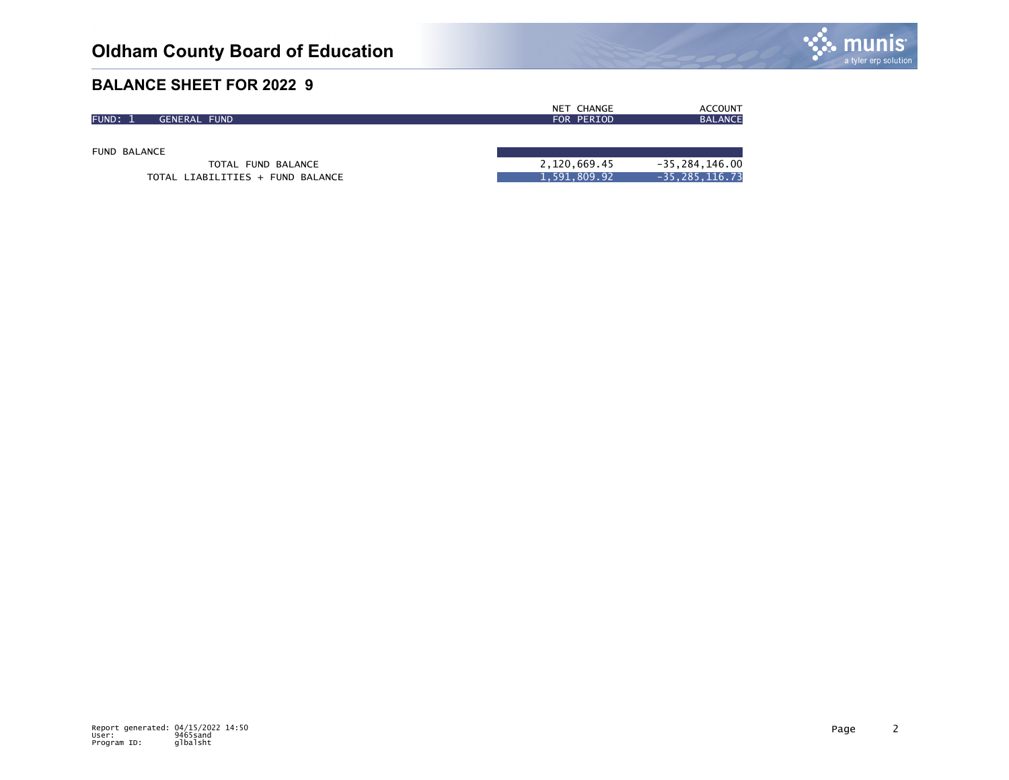

|              |                        | <b>CHANGE</b><br>NET | <b>ACCOUNT</b> |
|--------------|------------------------|----------------------|----------------|
| <b>FUND:</b> | <b>FUND</b><br>GENERAL | FOR PERIOD           | <b>BALANCE</b> |
|              |                        |                      |                |

FUND BALANCE

TOTAL FUND BALANCE TOTAL LIABILITIES + FUND BALANCE

| 2,120,669.45 | $-35, 284, 146.00$ |
|--------------|--------------------|
| 1,591,809.92 | -35,285,116.73     |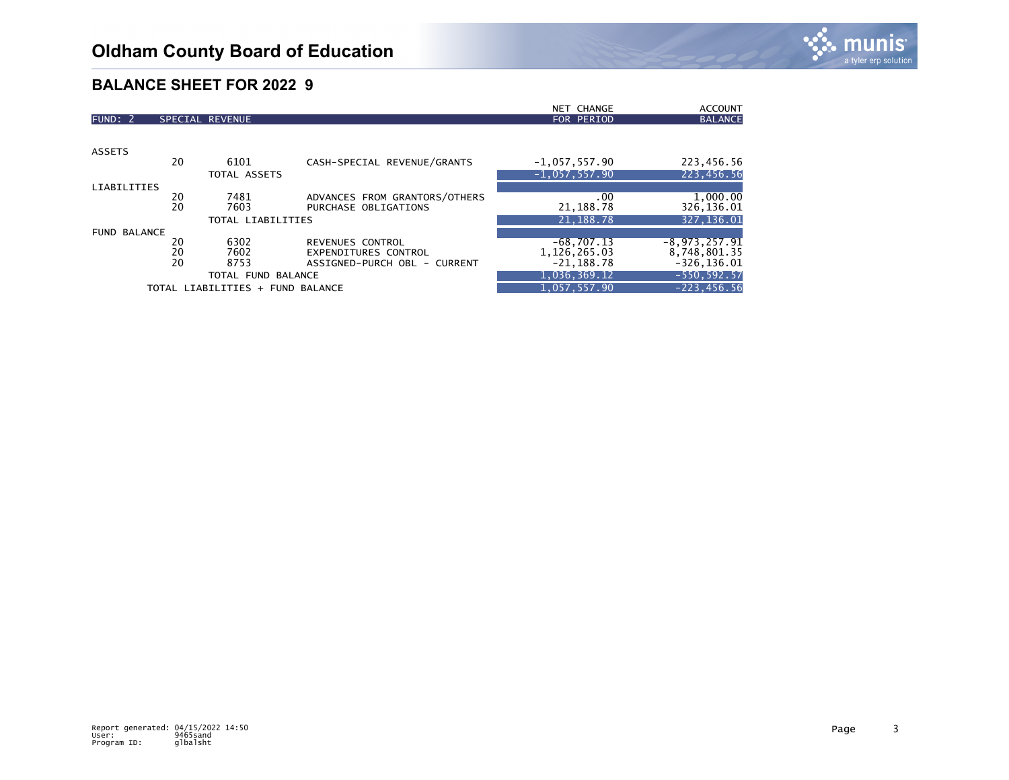

|                     |    |                                  |                               | NET CHANGE      | <b>ACCOUNT</b>  |
|---------------------|----|----------------------------------|-------------------------------|-----------------|-----------------|
| FUND: 2             |    | SPECIAL REVENUE                  |                               | FOR PERIOD      | <b>BALANCE</b>  |
|                     |    |                                  |                               |                 |                 |
| <b>ASSETS</b>       |    |                                  |                               |                 |                 |
|                     | 20 | 6101                             | CASH-SPECIAL REVENUE/GRANTS   | $-1,057,557.90$ | 223,456.56      |
|                     |    | TOTAL ASSETS                     |                               | $-1,057,557.90$ | 223,456.56      |
| <b>LIABILITIES</b>  |    |                                  |                               |                 |                 |
|                     | 20 | 7481                             | ADVANCES FROM GRANTORS/OTHERS | .00             | 1,000.00        |
|                     | 20 | 7603                             | PURCHASE OBLIGATIONS          | 21, 188.78      | 326,136.01      |
|                     |    | TOTAL LIABILITIES                |                               | 21, 188. 78     | 327,136.01      |
| <b>FUND BALANCE</b> |    |                                  |                               |                 |                 |
|                     | 20 | 6302                             | REVENUES CONTROL              | $-68,707.13$    | $-8,973,257.91$ |
|                     | 20 | 7602                             | <b>EXPENDITURES CONTROL</b>   | 1, 126, 265.03  | 8,748,801.35    |
|                     | 20 | 8753                             | ASSIGNED-PURCH OBL - CURRENT  | $-21,188.78$    | $-326, 136.01$  |
| TOTAL FUND BALANCE  |    |                                  |                               | 1,036,369.12    | $-550, 592.57$  |
|                     |    | TOTAL LIABILITIES + FUND BALANCE |                               | 1,057,557.90    | $-223, 456.56$  |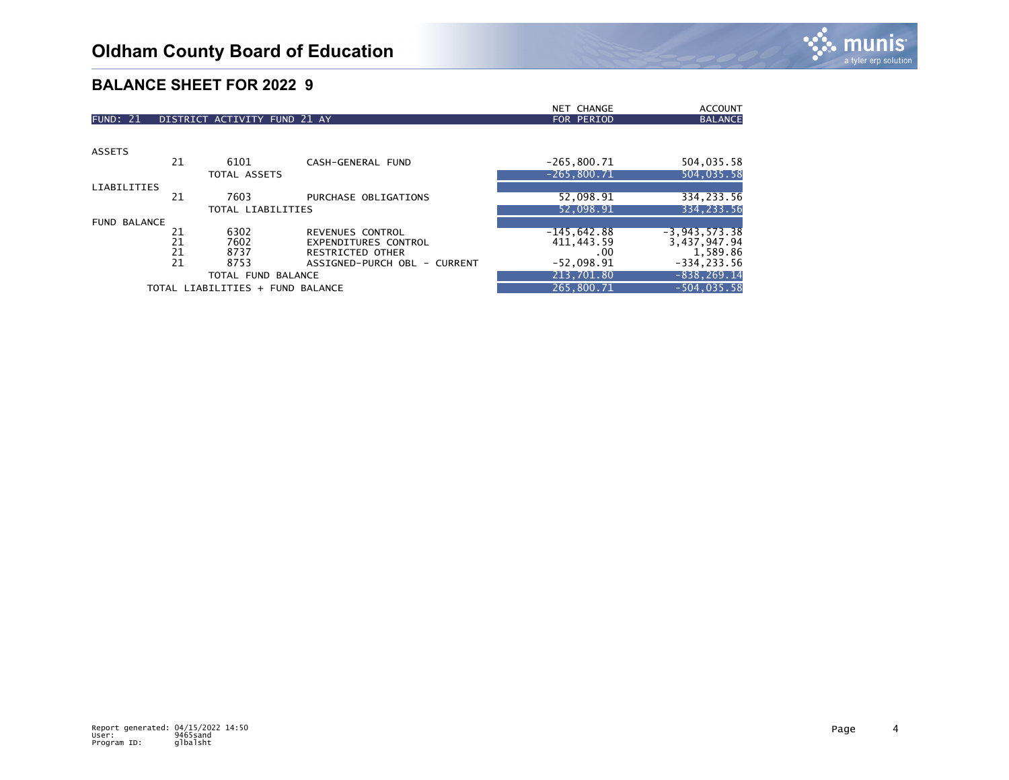|                     |    |                                  |                              | NET CHANGE    | <b>ACCOUNT</b>    |
|---------------------|----|----------------------------------|------------------------------|---------------|-------------------|
| <b>FUND: 21</b>     |    | DISTRICT ACTIVITY FUND 21 AY     |                              | FOR PERIOD    | <b>BALANCE</b>    |
|                     |    |                                  |                              |               |                   |
| <b>ASSETS</b>       |    |                                  |                              |               |                   |
|                     | 21 | 6101                             | CASH-GENERAL FUND            | $-265,800.71$ | 504,035.58        |
|                     |    | TOTAL ASSETS                     |                              | $-265.800.71$ | 504,035.58        |
| <b>LIABILITIES</b>  |    |                                  |                              |               |                   |
|                     | 21 | 7603                             | PURCHASE OBLIGATIONS         | 52,098.91     | 334,233.56        |
|                     |    | TOTAL LIABILITIES                |                              | 52,098.91     | 334, 233.56       |
| <b>FUND BALANCE</b> |    |                                  |                              |               |                   |
|                     | 21 | 6302                             | REVENUES CONTROL             | $-145,642.88$ | $-3, 943, 573.38$ |
|                     | 21 | 7602                             | <b>EXPENDITURES CONTROL</b>  | 411, 443.59   | 3,437,947.94      |
|                     | 21 | 8737                             | <b>RESTRICTED OTHER</b>      | $.00 \,$      | 1,589.86          |
|                     | 21 | 8753                             | ASSIGNED-PURCH OBL - CURRENT | $-52,098.91$  | $-334, 233.56$    |
|                     |    | TOTAL FUND BALANCE               |                              | 213,701.80    | $-838, 269.14$    |
|                     |    | TOTAL LIABILITIES + FUND BALANCE |                              | 265.800.71    | $-504, 035.58$    |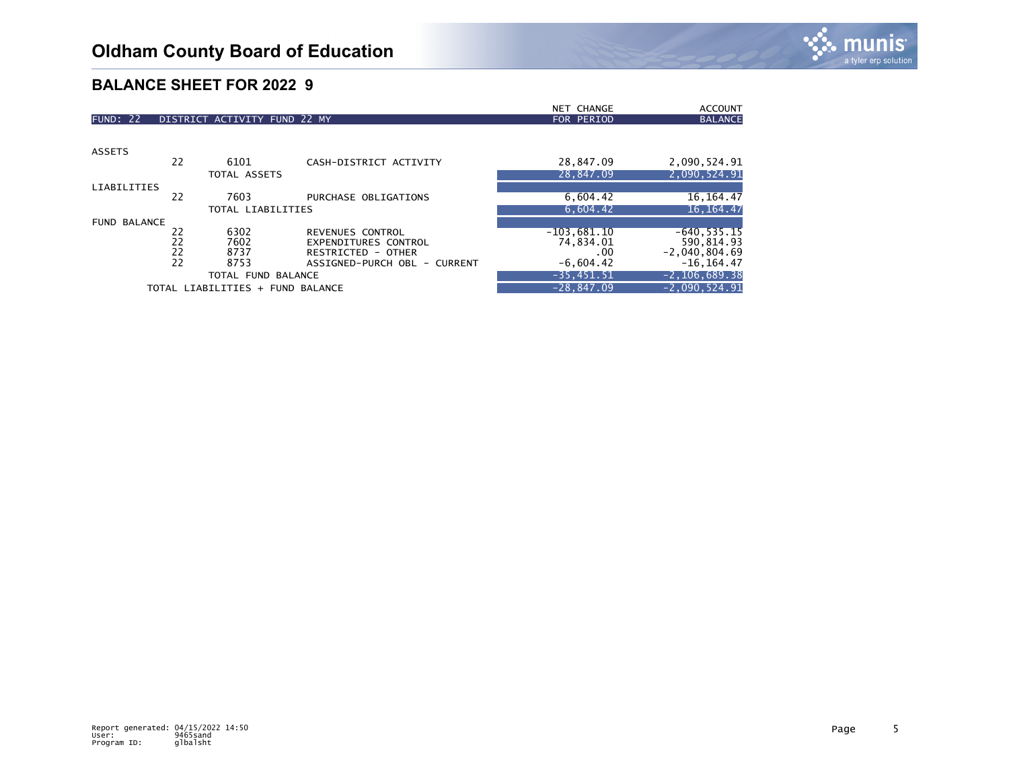|                     |    |                                  |                              | NET CHANGE    | <b>ACCOUNT</b>    |
|---------------------|----|----------------------------------|------------------------------|---------------|-------------------|
| <b>FUND: 22</b>     |    | DISTRICT ACTIVITY FUND 22 MY     |                              | FOR PERIOD    | <b>BALANCE</b>    |
|                     |    |                                  |                              |               |                   |
| <b>ASSETS</b>       |    |                                  |                              |               |                   |
|                     | 22 | 6101                             | CASH-DISTRICT ACTIVITY       | 28,847.09     | 2,090,524.91      |
|                     |    | TOTAL ASSETS                     |                              | 28,847.09     | 2,090,524.91      |
| <b>LIABILITIES</b>  |    |                                  |                              |               |                   |
|                     | 22 | 7603                             | PURCHASE OBLIGATIONS         | 6,604.42      | 16, 164, 47       |
|                     |    | TOTAL LIABILITIES                |                              | 6.604.42      | 16, 164. 47       |
| <b>FUND BALANCE</b> |    |                                  |                              |               |                   |
|                     | 22 | 6302                             | REVENUES CONTROL             | $-103,681.10$ | $-640, 535.15$    |
|                     | 22 | 7602                             | <b>EXPENDITURES CONTROL</b>  | 74,834.01     | 590,814.93        |
|                     | 22 | 8737                             | RESTRICTED - OTHER           | $.00 \,$      | $-2,040,804.69$   |
|                     | 22 | 8753                             | ASSIGNED-PURCH OBL - CURRENT | $-6,604.42$   | $-16, 164.47$     |
|                     |    | TOTAL FUND BALANCE               |                              | $-35,451.51$  | $-2, 106, 689.38$ |
|                     |    | TOTAL LIABILITIES + FUND BALANCE |                              | $-28.847.09$  | $-2,090,524.91$   |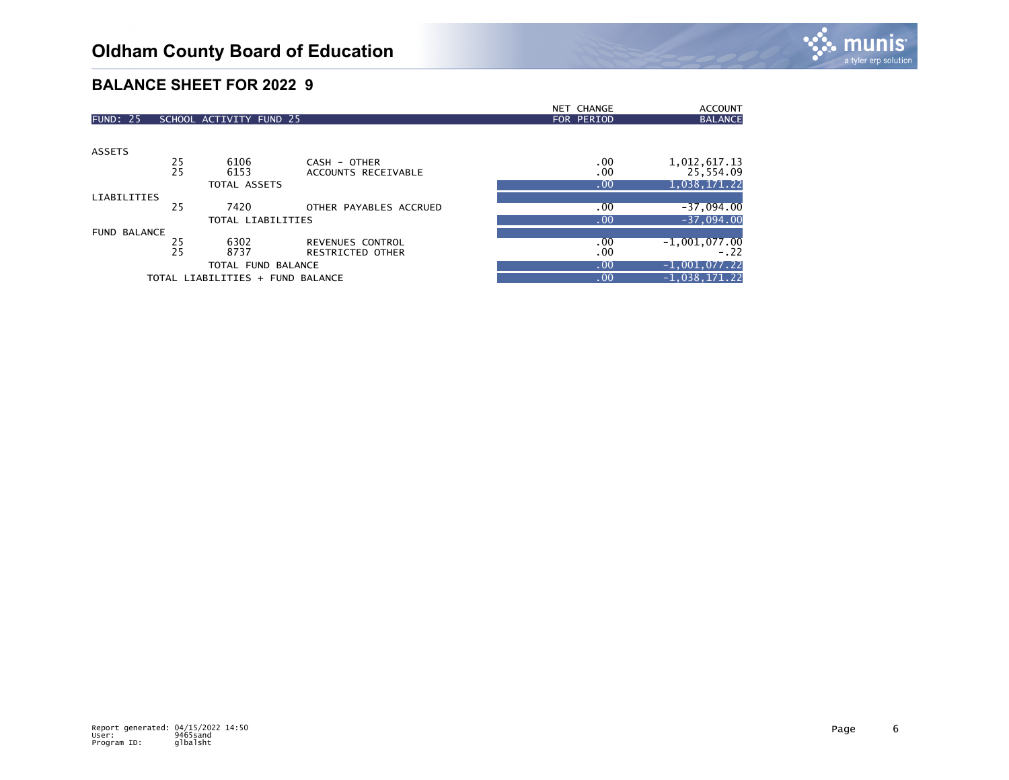|                     |    |                                  |                        | <b>NET CHANGE</b> | <b>ACCOUNT</b>  |
|---------------------|----|----------------------------------|------------------------|-------------------|-----------------|
| <b>FUND: 25</b>     |    | SCHOOL ACTIVITY FUND 25          |                        | FOR PERIOD        | <b>BALANCE</b>  |
|                     |    |                                  |                        |                   |                 |
| <b>ASSETS</b>       |    |                                  |                        |                   |                 |
|                     | 25 | 6106                             | CASH - OTHER           | .00               | 1,012,617.13    |
|                     | 25 | 6153                             | ACCOUNTS RECEIVABLE    | .00               | 25,554.09       |
|                     |    | TOTAL ASSETS                     |                        | .00               | 1,038,171.22    |
| <b>LIABILITIES</b>  |    |                                  |                        |                   |                 |
|                     | 25 | 7420                             | OTHER PAYABLES ACCRUED | .00               | $-37,094.00$    |
|                     |    | TOTAL LIABILITIES                |                        | .00               | $-37,094.00$    |
| <b>FUND BALANCE</b> |    |                                  |                        |                   |                 |
|                     | 25 | 6302                             | REVENUES CONTROL       | .00               | $-1,001,077.00$ |
|                     | 25 | 8737                             | RESTRICTED OTHER       | .00               | $-.22$          |
|                     |    | TOTAL FUND BALANCE               |                        | .00               | $-1,001,077.22$ |
|                     |    | TOTAL LIABILITIES + FUND BALANCE |                        | .00               | $-1,038,171.22$ |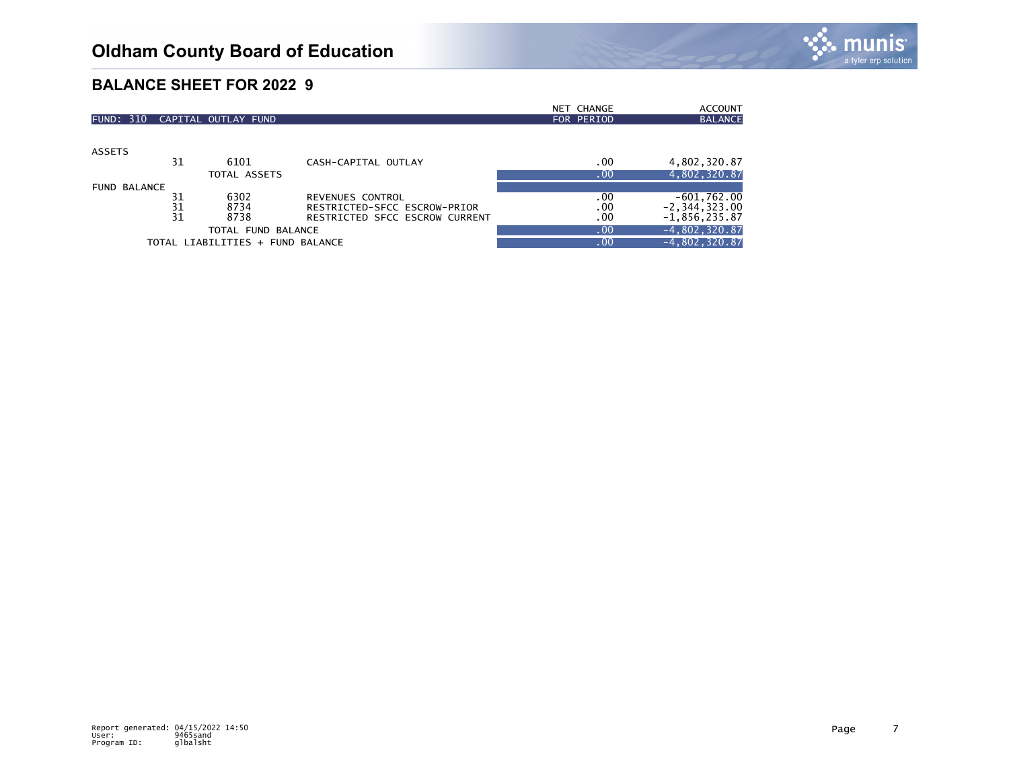

|                     |    |                                  |                                | NET CHANGE | <b>ACCOUNT</b>    |
|---------------------|----|----------------------------------|--------------------------------|------------|-------------------|
| <b>FUND: 310</b>    |    | CAPITAL OUTLAY FUND              |                                | FOR PERIOD | <b>BALANCE</b>    |
|                     |    |                                  |                                |            |                   |
|                     |    |                                  |                                |            |                   |
| <b>ASSETS</b>       |    |                                  |                                |            |                   |
|                     | 31 | 6101                             | CASH-CAPITAL OUTLAY            | .00        | 4,802,320.87      |
|                     |    | TOTAL ASSETS                     |                                | .00        | 4,802,320.87      |
| <b>FUND BALANCE</b> |    |                                  |                                |            |                   |
|                     | 31 | 6302                             | REVENUES CONTROL               | .00        | $-601,762.00$     |
|                     | 31 | 8734                             | RESTRICTED-SFCC ESCROW-PRIOR   | .00.       | $-2, 344, 323.00$ |
|                     | 31 | 8738                             | RESTRICTED SFCC ESCROW CURRENT | .00        | $-1,856,235.87$   |
| TOTAL FUND BALANCE  |    |                                  |                                | .00        | $-4,802,320.87$   |
|                     |    | TOTAL LIABILITIES + FUND BALANCE |                                | .00        | $-4,802,320.87$   |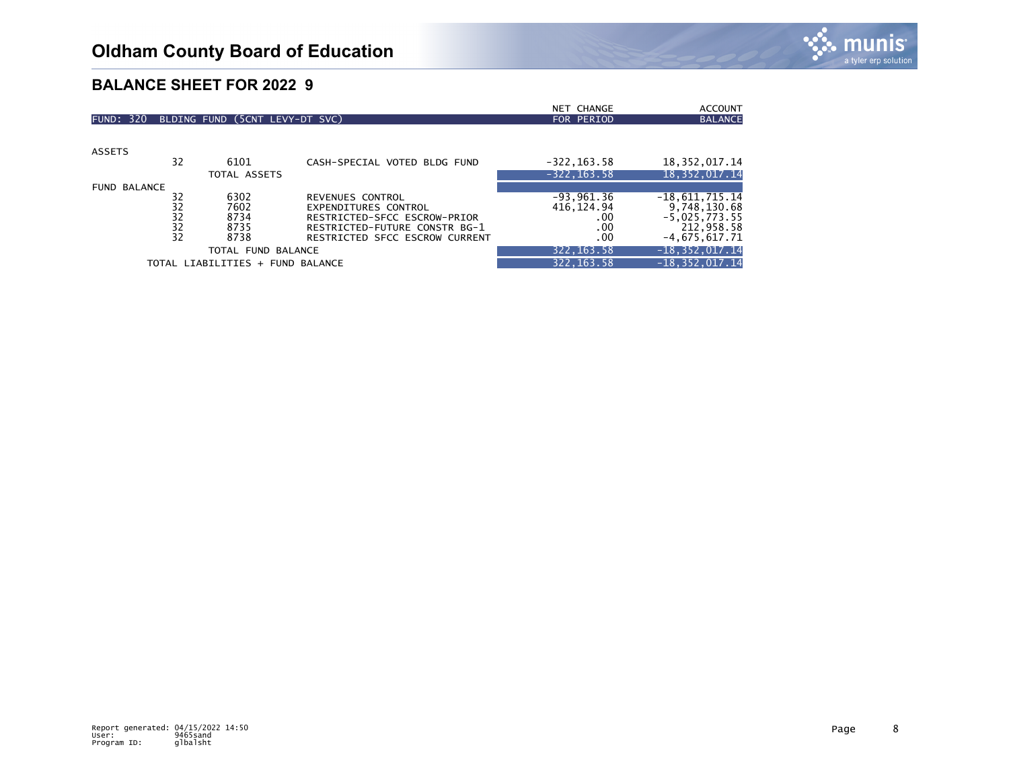|                     |                 |                                  |                                | NET CHANGE     | <b>ACCOUNT</b>     |
|---------------------|-----------------|----------------------------------|--------------------------------|----------------|--------------------|
| <b>FUND: 320</b>    |                 | BLDING FUND (5CNT LEVY-DT SVC)   |                                | FOR PERIOD     | <b>BALANCE</b>     |
|                     |                 |                                  |                                |                |                    |
| <b>ASSETS</b>       |                 |                                  |                                |                |                    |
|                     | 32              | 6101                             | CASH-SPECIAL VOTED BLDG FUND   | $-322, 163.58$ | 18, 352, 017.14    |
|                     |                 | TOTAL ASSETS                     |                                | $-322, 163.58$ | 18, 352, 017. 14   |
| <b>FUND BALANCE</b> |                 |                                  |                                |                |                    |
|                     | 32              | 6302                             | REVENUES CONTROL               | $-93,961.36$   | $-18,611,715.14$   |
|                     | 32              | 7602                             | EXPENDITURES CONTROL           | 416, 124.94    | 9,748,130.68       |
|                     | 32              | 8734                             | RESTRICTED-SFCC ESCROW-PRIOR   | .00            | $-5,025,773.55$    |
|                     |                 | 8735                             | RESTRICTED-FUTURE CONSTR BG-1  | .00            | 212,958.58         |
|                     | $\frac{32}{32}$ | 8738                             | RESTRICTED SFCC ESCROW CURRENT | .00            | $-4,675,617.71$    |
|                     |                 | TOTAL FUND BALANCE               |                                | 322, 163.58    | $-18, 352, 017.14$ |
|                     |                 | TOTAL LIABILITIES + FUND BALANCE |                                | 322, 163.58    | $-18, 352, 017.14$ |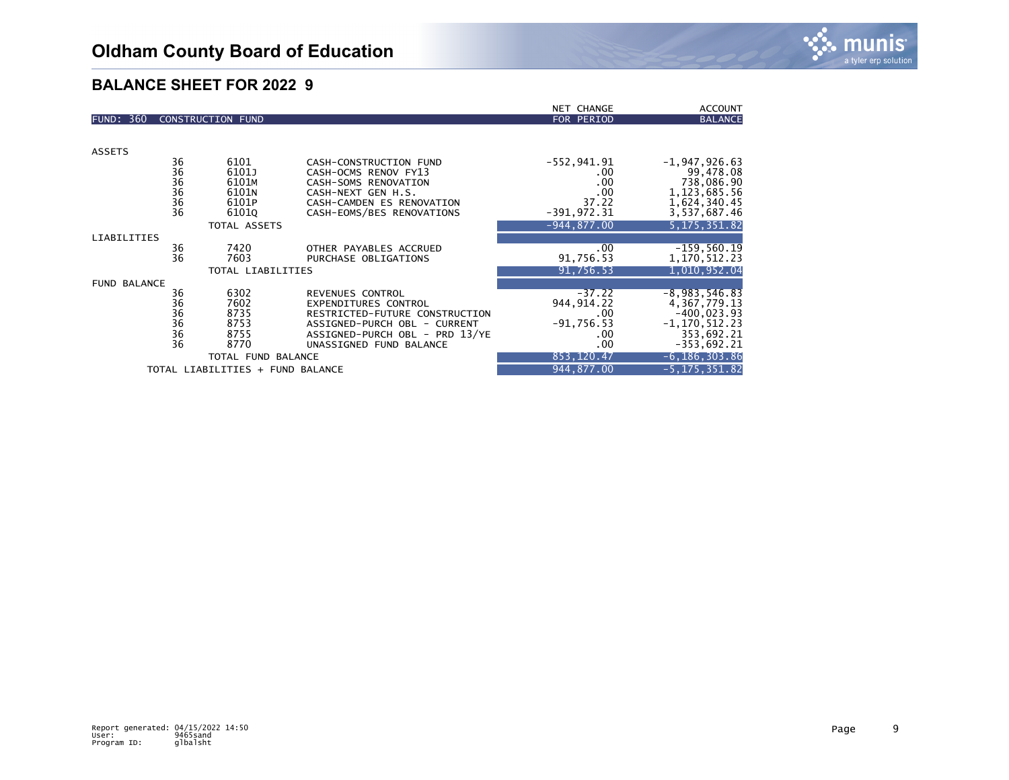|                                  |                 |                          |                                                        | NET CHANGE     | <b>ACCOUNT</b>               |
|----------------------------------|-----------------|--------------------------|--------------------------------------------------------|----------------|------------------------------|
| <b>FUND: 360</b>                 |                 | <b>CONSTRUCTION FUND</b> |                                                        | FOR PERIOD     | <b>BALANCE</b>               |
|                                  |                 |                          |                                                        |                |                              |
|                                  |                 |                          |                                                        |                |                              |
| <b>ASSETS</b>                    |                 |                          |                                                        |                |                              |
|                                  | 36              | 6101                     | CASH-CONSTRUCTION FUND                                 | $-552, 941.91$ | $-1,947,926.63$              |
|                                  |                 | 6101J                    | CASH-OCMS RENOV FY13                                   | .00            | 99,478.08                    |
|                                  | 36<br>36<br>36  | 6101M                    | CASH-SOMS RENOVATION                                   | .00            | 738,086.90                   |
|                                  | 36              | 6101N<br>6101P           | CASH-NEXT GEN H.S.                                     | .00<br>37.22   | 1, 123, 685.56               |
|                                  | $\overline{36}$ | 61010                    | CASH-CAMDEN ES RENOVATION<br>CASH-EOMS/BES RENOVATIONS | $-391,972.31$  | 1,624,340.45<br>3,537,687.46 |
|                                  |                 |                          |                                                        |                |                              |
|                                  |                 | <b>TOTAL ASSETS</b>      |                                                        | $-944.877.00$  | 5.175.351.82                 |
| <b>LIABILITIES</b>               |                 |                          |                                                        |                |                              |
|                                  | 36              | 7420                     | OTHER PAYABLES ACCRUED                                 | .00            | $-159,560.19$                |
|                                  | 36              | 7603                     | PURCHASE OBLIGATIONS                                   | 91,756.53      | 1,170,512.23                 |
|                                  |                 | TOTAL LIABILITIES        |                                                        | 91,756.53      | 1,010,952.04                 |
| <b>FUND BALANCE</b>              |                 |                          |                                                        |                |                              |
|                                  | 36              | 6302                     | REVENUES CONTROL                                       | $-37.22$       | $-8,983,546.83$              |
|                                  | $\frac{36}{36}$ | 7602                     | <b>EXPENDITURES CONTROL</b>                            | 944, 914. 22   | 4, 367, 779. 13              |
|                                  |                 | 8735                     | RESTRICTED-FUTURE CONSTRUCTION                         | .00            | $-400,023.93$                |
|                                  | 36<br>36<br>36  | 8753                     | ASSIGNED-PURCH OBL - CURRENT                           | $-91,756.53$   | $-1, 170, 512.23$            |
|                                  |                 | 8755                     | ASSIGNED-PURCH OBL - PRD 13/YE                         | .00            | 353,692.21                   |
|                                  |                 | 8770                     | UNASSIGNED FUND BALANCE                                | .00            | $-353,692.21$                |
| TOTAL FUND BALANCE               |                 |                          |                                                        | 853, 120.47    | $-6, 186, 303.86$            |
| TOTAL LIABILITIES + FUND BALANCE |                 |                          |                                                        | 944,877.00     | $-5, 175, 351.82$            |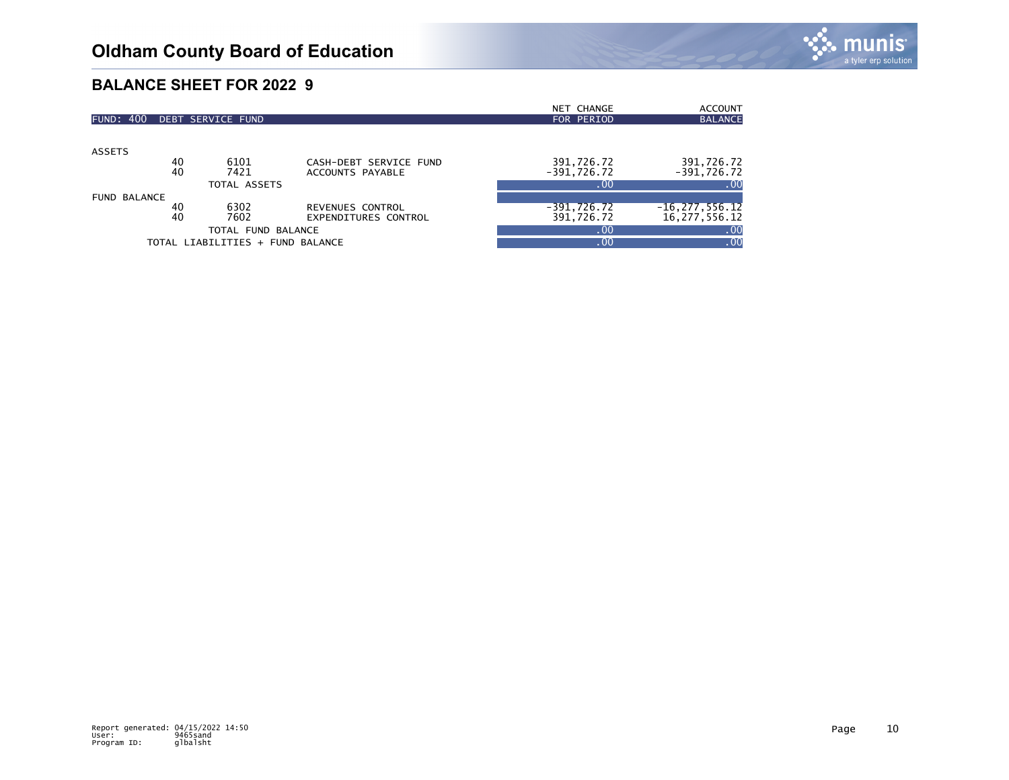|                     |    |                                  |                        | <b>NET CHANGE</b> | <b>ACCOUNT</b>     |
|---------------------|----|----------------------------------|------------------------|-------------------|--------------------|
| <b>FUND: 400</b>    |    | DEBT SERVICE FUND                |                        | FOR PERIOD        | <b>BALANCE</b>     |
|                     |    |                                  |                        |                   |                    |
|                     |    |                                  |                        |                   |                    |
| <b>ASSETS</b>       | 40 | 6101                             | CASH-DEBT SERVICE FUND | 391,726.72        | 391,726.72         |
|                     |    |                                  |                        |                   |                    |
|                     | 40 | 7421                             | ACCOUNTS PAYABLE       | $-391,726.72$     | $-391,726.72$      |
|                     |    | TOTAL ASSETS                     |                        | 0.001             | .00                |
| <b>FUND BALANCE</b> |    |                                  |                        |                   |                    |
|                     | 40 | 6302                             | REVENUES CONTROL       | $-391,726.72$     | $-16, 277, 556.12$ |
|                     | 40 | 7602                             | EXPENDITURES CONTROL   | 391,726.72        | 16, 277, 556. 12   |
| TOTAL FUND BALANCE  |    |                                  |                        | .00               | .00                |
|                     |    | TOTAL LIABILITIES + FUND BALANCE |                        | .00               | .00                |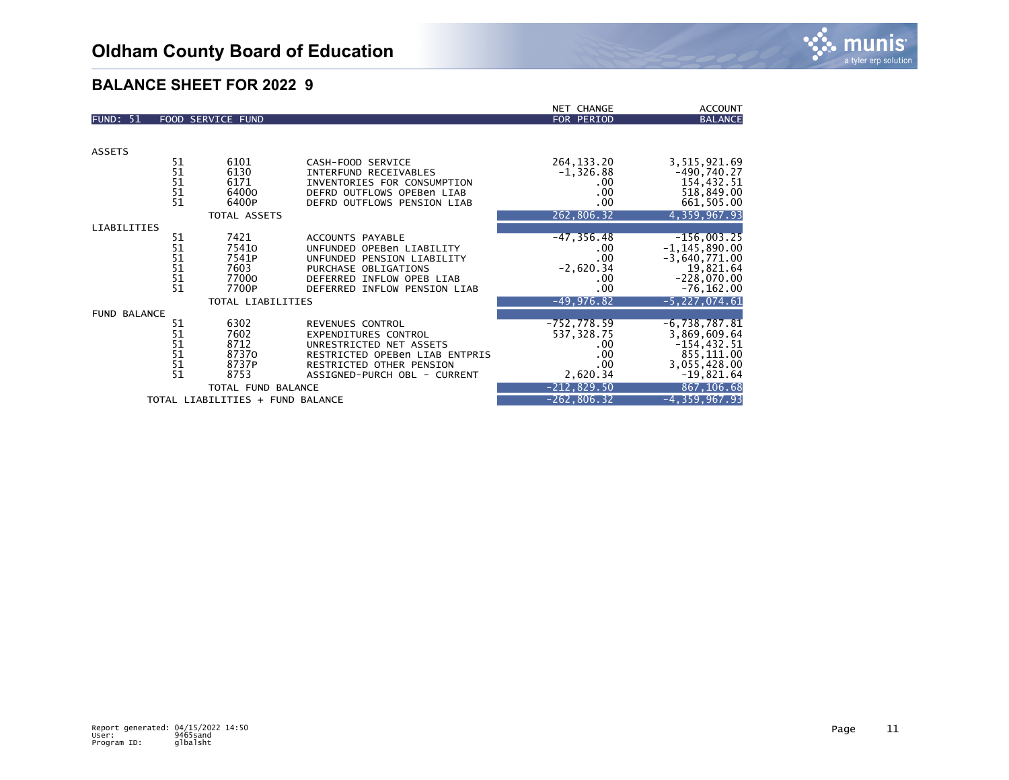|                     |                                         |                                  |                                 | NET CHANGE     | <b>ACCOUNT</b>     |
|---------------------|-----------------------------------------|----------------------------------|---------------------------------|----------------|--------------------|
| <b>FUND: 51</b>     |                                         | FOOD SERVICE FUND                |                                 | FOR PERIOD     | <b>BALANCE</b>     |
|                     |                                         |                                  |                                 |                |                    |
|                     |                                         |                                  |                                 |                |                    |
| <b>ASSETS</b>       |                                         |                                  |                                 |                |                    |
|                     | 51                                      | 6101                             | CASH-FOOD SERVICE               | 264, 133. 20   | 3,515,921.69       |
|                     | 51<br>51<br>51                          | 6130                             | INTERFUND RECEIVABLES           | $-1,326.88$    | $-490,740.27$      |
|                     |                                         | 6171                             | INVENTORIES FOR CONSUMPTION     | .00.           | 154,432.51         |
|                     |                                         | 64000                            | DEFRD OUTFLOWS OPEBen LIAB      | .00            | 518,849.00         |
|                     | 51                                      | 6400P                            | DEFRD OUTFLOWS PENSION LIAB     | .00            | 661,505.00         |
|                     |                                         | TOTAL ASSETS                     |                                 | 262,806.32     | 4,359,967.93       |
| LIABILITIES         |                                         |                                  |                                 |                |                    |
|                     | 51                                      | 7421                             | ACCOUNTS PAYABLE                | $-47, 356.48$  | $-156,003.25$      |
|                     | $\begin{array}{c} 51 \\ 51 \end{array}$ | 75410                            | UNFUNDED OPEBen LIABILITY       | .00.           | $-1, 145, 890.00$  |
|                     |                                         | 7541P                            | UNFUNDED PENSION LIABILITY      | .00            | $-3,640,771.00$    |
|                     | 51                                      | 7603                             | PURCHASE OBLIGATIONS            | $-2,620.34$    | 19,821.64          |
|                     | 51                                      | 77000                            | DEFERRED INFLOW OPEB LIAB       | .00            | $-228,070.00$      |
|                     | 51                                      | 7700P                            | DEFERRED INFLOW PENSION LIAB    | .00            | $-76, 162.00$      |
|                     |                                         | TOTAL LIABILITIES                |                                 | $-49,976.82$   | $-5, 227, 074.61$  |
| <b>FUND BALANCE</b> |                                         |                                  |                                 |                |                    |
|                     | 51                                      | 6302                             | REVENUES CONTROL                | $-752, 778.59$ | $-6,738,787.81$    |
|                     | $\frac{51}{51}$                         | 7602                             | <b>EXPENDITURES CONTROL</b>     | 537, 328.75    | 3,869,609.64       |
|                     |                                         | 8712                             | UNRESTRICTED NET ASSETS         | .00.           | $-154, 432.51$     |
|                     | 51                                      | 87370                            | RESTRICTED OPEBen LIAB ENTPRIS  | .00            | 855,111.00         |
|                     | 51                                      | 8737P                            | <b>RESTRICTED OTHER PENSION</b> | .00.           | 3,055,428.00       |
|                     | 51                                      | 8753                             | ASSIGNED-PURCH OBL - CURRENT    | 2,620.34       | $-19,821.64$       |
|                     |                                         | TOTAL FUND BALANCE               |                                 | $-212,829.50$  | 867,106.68         |
|                     |                                         | TOTAL LIABILITIES + FUND BALANCE |                                 | $-262, 806.32$ | $-4, 359, 967, 93$ |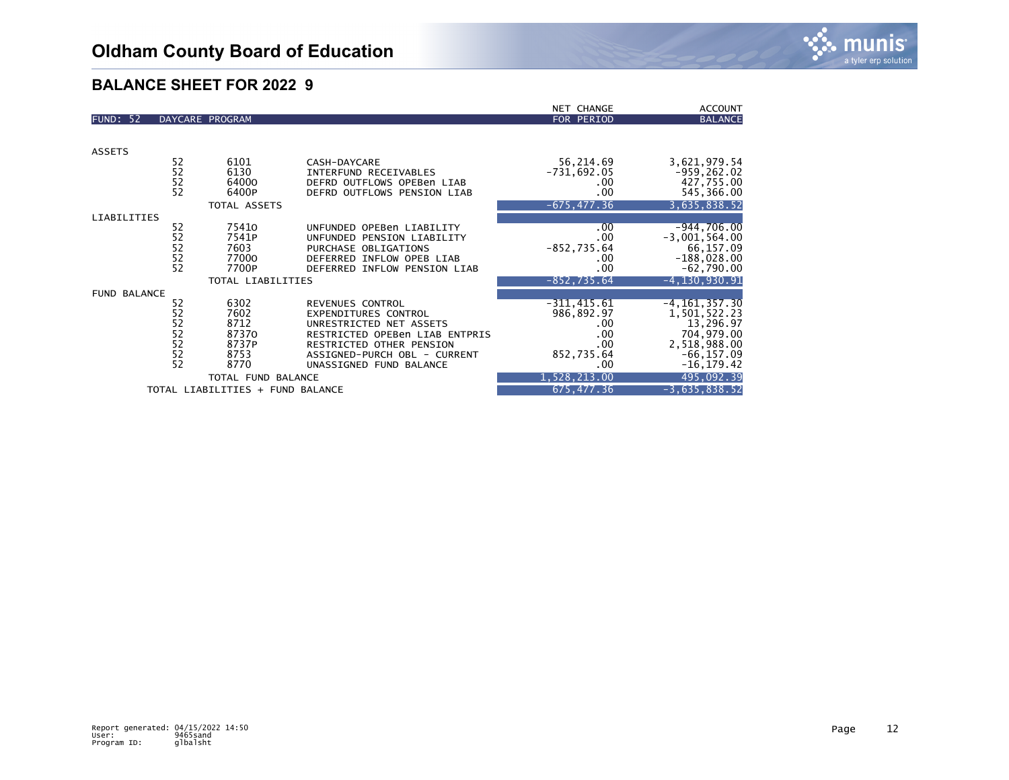|                                  |                      |                 |                                | <b>NET CHANGE</b> | <b>ACCOUNT</b>    |
|----------------------------------|----------------------|-----------------|--------------------------------|-------------------|-------------------|
| <b>FUND: 52</b>                  |                      | DAYCARE PROGRAM |                                | FOR PERIOD        | <b>BALANCE</b>    |
|                                  |                      |                 |                                |                   |                   |
|                                  |                      |                 |                                |                   |                   |
| <b>ASSETS</b>                    |                      |                 |                                |                   |                   |
|                                  | 52                   | 6101            | CASH-DAYCARE                   | 56,214.69         | 3,621,979.54      |
|                                  | $\frac{5}{2}$        | 6130            | <b>INTERFUND RECEIVABLES</b>   | $-731,692.05$     | $-959, 262.02$    |
|                                  |                      | 64000           | DEFRD OUTFLOWS OPEBen LIAB     | .00               | 427,755.00        |
|                                  | 52                   | 6400P           | DEFRD OUTFLOWS PENSION LIAB    | .00               | 545,366.00        |
|                                  |                      | TOTAL ASSETS    |                                | $-675, 477.36$    | 3,635,838.52      |
| LIABILITIES                      |                      |                 |                                |                   |                   |
|                                  | 52                   | 75410           | UNFUNDED OPEBen LIABILITY      | .00               | $-944,706.00$     |
|                                  | $\overline{52}$      | 7541P           | UNFUNDED PENSION LIABILITY     | .00               | $-3,001,564.00$   |
|                                  |                      | 7603            | PURCHASE OBLIGATIONS           | $-852, 735.64$    | 66,157.09         |
|                                  | $\frac{5}{2}$        | 77000           | DEFERRED INFLOW OPEB LIAB      | .00               | $-188,028.00$     |
|                                  | 52                   | 7700P           | DEFERRED INFLOW PENSION LIAB   | .00               | $-62,790.00$      |
| TOTAL LIABILITIES                |                      |                 |                                | $-852, 735.64$    | $-4, 130, 930.91$ |
| <b>FUND BALANCE</b>              |                      |                 |                                |                   |                   |
|                                  | 52                   | 6302            | REVENUES CONTROL               | $-311,415.61$     | $-4, 161, 357.30$ |
|                                  | 52<br>52<br>52<br>52 | 7602            | <b>EXPENDITURES CONTROL</b>    | 986,892.97        | 1,501,522.23      |
|                                  |                      | 8712            | UNRESTRICTED NET ASSETS        | .00               | 13,296.97         |
|                                  |                      | 87370           | RESTRICTED OPEBen LIAB ENTPRIS | .00               | 704,979.00        |
|                                  |                      | 8737P           | RESTRICTED OTHER PENSION       | .00               | 2,518,988.00      |
|                                  | $\frac{5}{2}$        | 8753            | ASSIGNED-PURCH OBL - CURRENT   | 852,735.64        | $-66, 157.09$     |
|                                  |                      | 8770            | UNASSIGNED FUND BALANCE        | .00               | $-16, 179.42$     |
| TOTAL FUND BALANCE               |                      |                 |                                | 1,528,213.00      | 495,092.39        |
| TOTAL LIABILITIES + FUND BALANCE |                      |                 |                                | 675, 477.36       | $-3,635,838.52$   |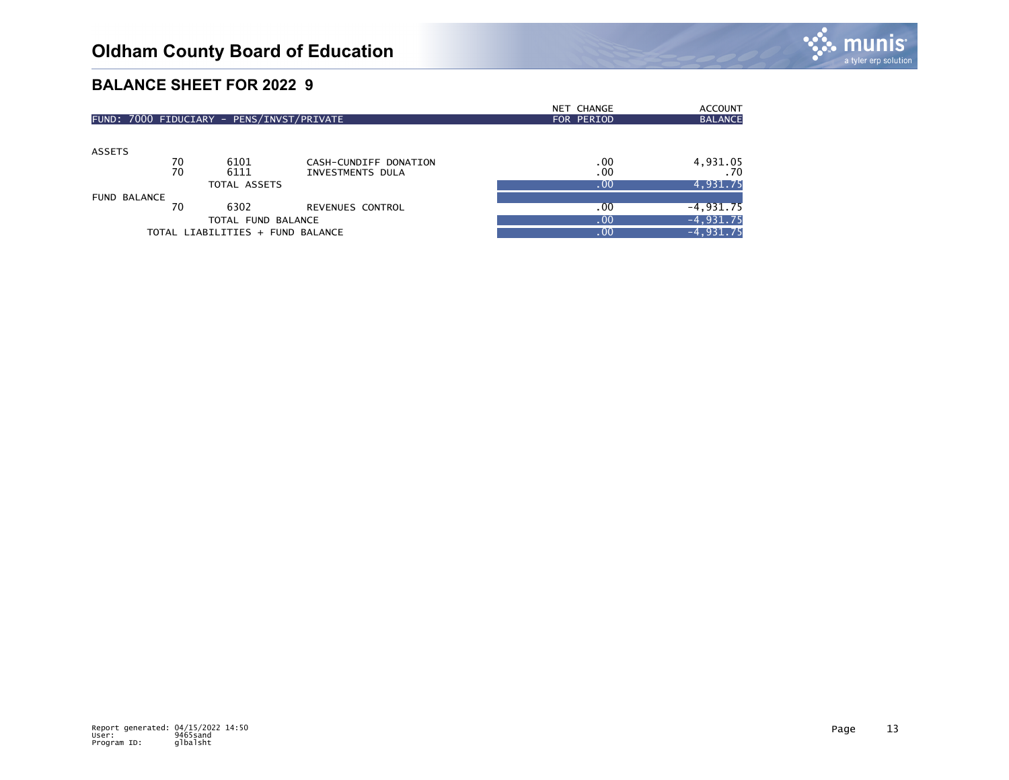|                                           |    |              |                       | NET CHANGE | <b>ACCOUNT</b>  |
|-------------------------------------------|----|--------------|-----------------------|------------|-----------------|
| FUND: 7000 FIDUCIARY - PENS/INVST/PRIVATE |    |              |                       | FOR PERIOD | <b>BALANCE</b>  |
|                                           |    |              |                       |            |                 |
| ASSETS                                    |    |              |                       |            |                 |
|                                           | 70 | 6101         | CASH-CUNDIFF DONATION | .00        |                 |
|                                           | 70 | 6111         | INVESTMENTS DULA      | .00        | 4,931.05<br>70. |
|                                           |    | TOTAL ASSETS |                       | .00        | 4,931.75        |
| <b>FUND BALANCE</b>                       |    |              |                       |            |                 |
|                                           | 70 | 6302         | REVENUES CONTROL      | .00        | $-4,931.75$     |
| TOTAL FUND BALANCE                        |    |              |                       | .00        | $-4,931.75$     |
| TOTAL LIABILITIES + FUND BALANCE          |    |              |                       | .00        | $-4,931.75$     |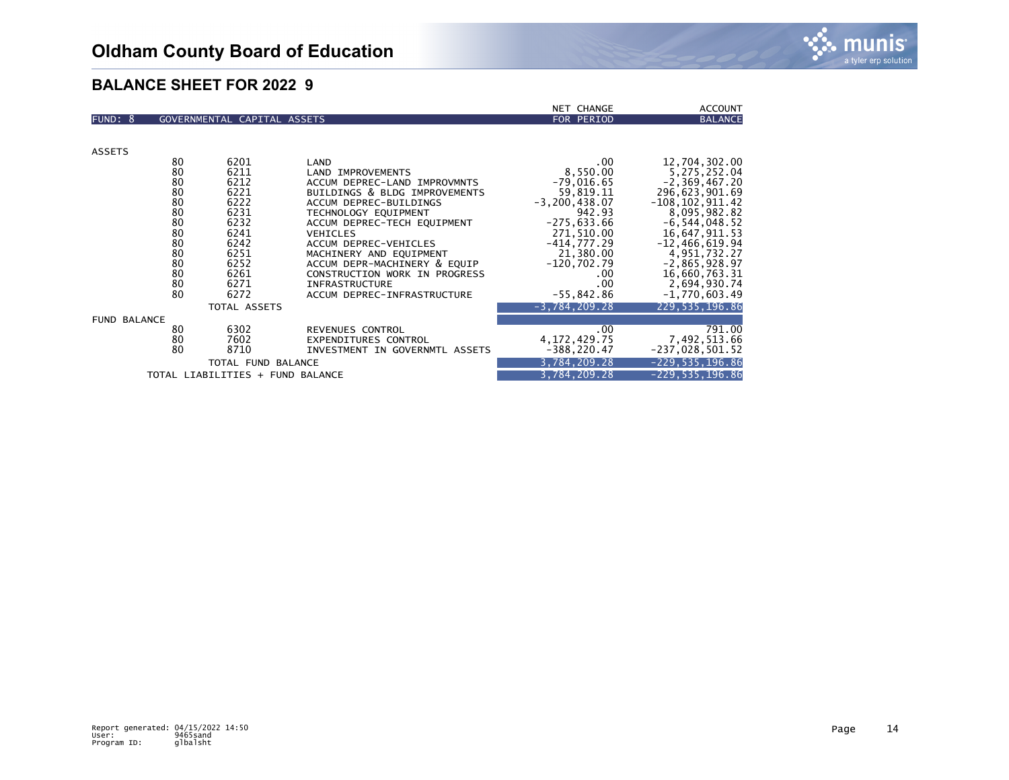|                                  |    |                             |                                | <b>NET CHANGE</b>   | <b>ACCOUNT</b>      |
|----------------------------------|----|-----------------------------|--------------------------------|---------------------|---------------------|
| FUND: 8                          |    | GOVERNMENTAL CAPITAL ASSETS |                                | FOR PERIOD          | <b>BALANCE</b>      |
|                                  |    |                             |                                |                     |                     |
|                                  |    |                             |                                |                     |                     |
| <b>ASSETS</b>                    |    |                             |                                |                     |                     |
|                                  | 80 | 6201                        | LAND                           | .00                 | 12,704,302.00       |
|                                  | 80 | 6211                        | LAND IMPROVEMENTS              | 8,550.00            | 5,275,252.04        |
|                                  | 80 | 6212                        | ACCUM DEPREC-LAND IMPROVMNTS   | $-79,016.65$        | $-2, 369, 467, 20$  |
|                                  | 80 | 6221                        | BUILDINGS & BLDG IMPROVEMENTS  | 59,819.11           | 296,623,901.69      |
|                                  | 80 | 6222                        | ACCUM DEPREC-BUILDINGS         | $-3, 200, 438.07$   | $-108, 102, 911.42$ |
|                                  | 80 | 6231                        | TECHNOLOGY EQUIPMENT           | 942.93              | 8,095,982.82        |
|                                  | 80 | 6232                        | ACCUM DEPREC-TECH EQUIPMENT    | $-275,633.66$       | $-6, 544, 048.52$   |
|                                  | 80 | 6241                        | <b>VEHICLES</b>                | 271,510.00          | 16,647,911.53       |
|                                  | 80 | 6242                        | ACCUM DEPREC-VEHICLES          | $-414,777.29$       | $-12, 466, 619.94$  |
|                                  | 80 | 6251                        | MACHINERY AND EQUIPMENT        | 21,380.00           | 4,951,732.27        |
|                                  | 80 | 6252                        | ACCUM DEPR-MACHINERY & EQUIP   | $-120, 702.79$      | $-2,865,928.97$     |
|                                  | 80 | 6261                        | CONSTRUCTION WORK IN PROGRESS  | .00                 | 16,660,763.31       |
|                                  | 80 | 6271                        | <b>INFRASTRUCTURE</b>          | .00.                | 2,694,930.74        |
|                                  | 80 | 6272                        | ACCUM DEPREC-INFRASTRUCTURE    | $-55,842.86$        | $-1,770,603.49$     |
|                                  |    | TOTAL ASSETS                |                                | $-3,784,209.28$     | 229, 535, 196.86    |
| <b>FUND BALANCE</b>              |    |                             |                                |                     |                     |
|                                  | 80 | 6302                        | REVENUES CONTROL               | .00                 | 791.00              |
|                                  | 80 | 7602                        | <b>EXPENDITURES CONTROL</b>    | 4, 172, 429. 75     | 7,492,513.66        |
|                                  | 80 | 8710                        | INVESTMENT IN GOVERNMTL ASSETS | $-388, 220.47$      | $-237,028,501.52$   |
|                                  |    | TOTAL FUND BALANCE          |                                | 3,784,209.28        | $-229, 535, 196.86$ |
| TOTAL LIABILITIES + FUND BALANCE |    |                             | 3,784,209.28                   | $-229, 535, 196.86$ |                     |